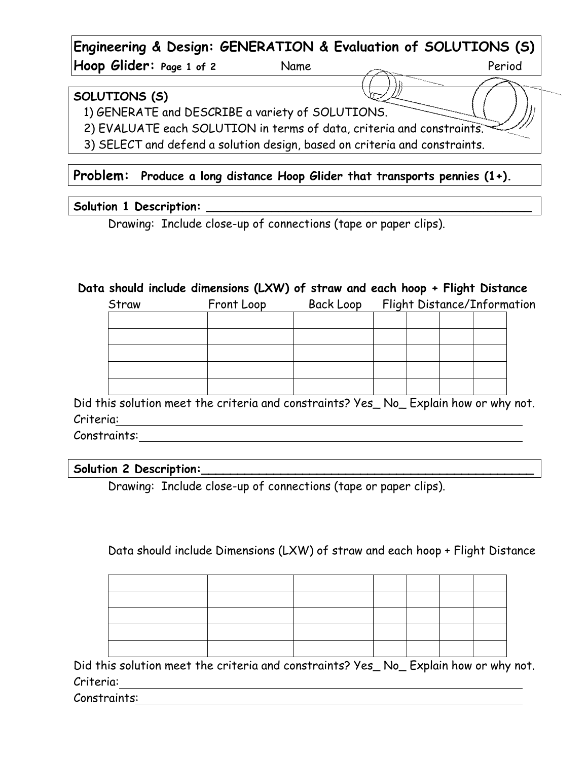**Engineering & Design: GENERATION & Evaluation of SOLUTIONS (S) Hoop Glider:** Page 1 of 2 Name and 2 Reriod

### **SOLUTIONS (S)**

1) GENERATE and DESCRIBE a variety of SOLUTIONS.

2) EVALUATE each SOLUTION in terms of data, criteria and constraints.

3) SELECT and defend a solution design, based on criteria and constraints.

### **Problem: Produce a long distance Hoop Glider that transports pennies (1+).**

#### **Solution 1 Description: \_\_\_\_\_\_\_\_\_\_\_\_\_\_\_\_\_\_\_\_\_\_\_\_\_\_\_\_\_\_\_\_\_\_\_\_\_\_\_\_\_\_\_\_\_**

Drawing: Include close-up of connections (tape or paper clips).

### **Data should include dimensions (LXW) of straw and each hoop + Flight Distance**

| Straw | Front Loop | Back Loop | Flight Distance/Information |  |  |  |
|-------|------------|-----------|-----------------------------|--|--|--|
|       |            |           |                             |  |  |  |
|       |            |           |                             |  |  |  |
|       |            |           |                             |  |  |  |
|       |            |           |                             |  |  |  |
|       |            |           |                             |  |  |  |

Did this solution meet the criteria and constraints? Yes\_ No\_ Explain how or why not. Criteria:

Constraints:

### Solution 2 Description:

Drawing: Include close-up of connections (tape or paper clips).

## Data should include Dimensions (LXW) of straw and each hoop + Flight Distance

Did this solution meet the criteria and constraints? Yes\_ No\_ Explain how or why not. Criteria:

Constraints: